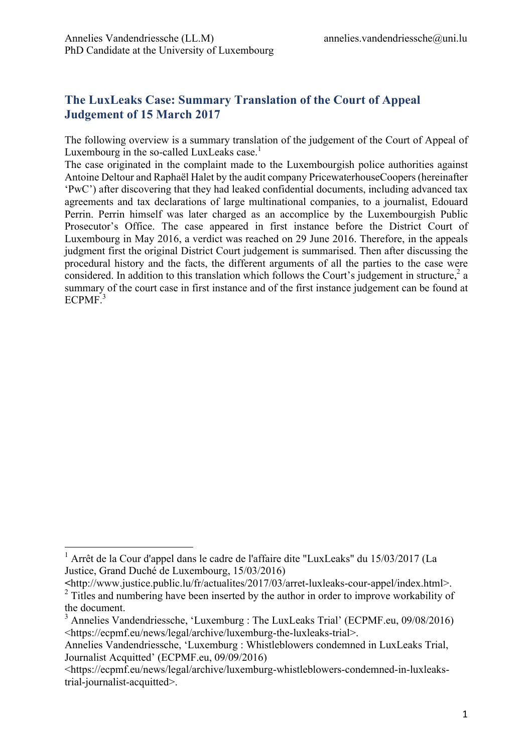# **The LuxLeaks Case: Summary Translation of the Court of Appeal Judgement of 15 March 2017**

The following overview is a summary translation of the judgement of the Court of Appeal of Luxembourg in the so-called LuxLeaks case.<sup>1</sup>

The case originated in the complaint made to the Luxembourgish police authorities against Antoine Deltour and Raphaël Halet by the audit company PricewaterhouseCoopers(hereinafter 'PwC') after discovering that they had leaked confidential documents, including advanced tax agreements and tax declarations of large multinational companies, to a journalist, Edouard Perrin. Perrin himself was later charged as an accomplice by the Luxembourgish Public Prosecutor's Office. The case appeared in first instance before the District Court of Luxembourg in May 2016, a verdict was reached on 29 June 2016. Therefore, in the appeals judgment first the original District Court judgement is summarised. Then after discussing the procedural history and the facts, the different arguments of all the parties to the case were considered. In addition to this translation which follows the Court's judgement in structure,  $2a$ summary of the court case in first instance and of the first instance judgement can be found at ECPMF.<sup>3</sup>

 <sup>1</sup> Arrêt de la Cour d'appel dans le cadre de l'affaire dite "LuxLeaks" du 15/03/2017 (La Justice, Grand Duché de Luxembourg, 15/03/2016)

**<sup>&</sup>lt;**http://www.justice.public.lu/fr/actualites/2017/03/arret-luxleaks-cour-appel/index.html>. <sup>2</sup> Titles and numbering have been inserted by the author in order to improve workability of the document.

<sup>&</sup>lt;sup>3</sup> Annelies Vandendriessche, 'Luxemburg : The LuxLeaks Trial' (ECPMF.eu, 09/08/2016) <https://ecpmf.eu/news/legal/archive/luxemburg-the-luxleaks-trial>.

Annelies Vandendriessche, 'Luxemburg : Whistleblowers condemned in LuxLeaks Trial, Journalist Acquitted' (ECPMF.eu, 09/09/2016)

<sup>&</sup>lt;https://ecpmf.eu/news/legal/archive/luxemburg-whistleblowers-condemned-in-luxleakstrial-journalist-acquitted>.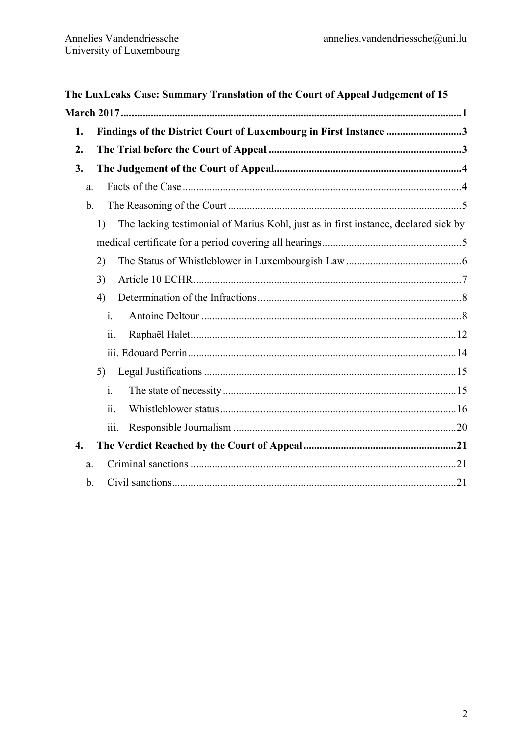| The LuxLeaks Case: Summary Translation of the Court of Appeal Judgement of 15 |                                                                                           |  |
|-------------------------------------------------------------------------------|-------------------------------------------------------------------------------------------|--|
|                                                                               |                                                                                           |  |
| 2.                                                                            |                                                                                           |  |
| 3.                                                                            |                                                                                           |  |
| a.                                                                            |                                                                                           |  |
| $\mathbf{b}$ .                                                                |                                                                                           |  |
|                                                                               | The lacking testimonial of Marius Kohl, just as in first instance, declared sick by<br>1) |  |
|                                                                               |                                                                                           |  |
|                                                                               | 2)                                                                                        |  |
|                                                                               | 3)                                                                                        |  |
|                                                                               | 4)                                                                                        |  |
|                                                                               | $\mathbf{i}$ .                                                                            |  |
|                                                                               | ii.                                                                                       |  |
|                                                                               |                                                                                           |  |
|                                                                               | 5)                                                                                        |  |
|                                                                               | $\mathbf{i}$ .                                                                            |  |
|                                                                               | $\overline{11}$ .                                                                         |  |
|                                                                               | 111.                                                                                      |  |
| $\boldsymbol{4}$ .                                                            |                                                                                           |  |
| a.                                                                            |                                                                                           |  |
| $b$                                                                           |                                                                                           |  |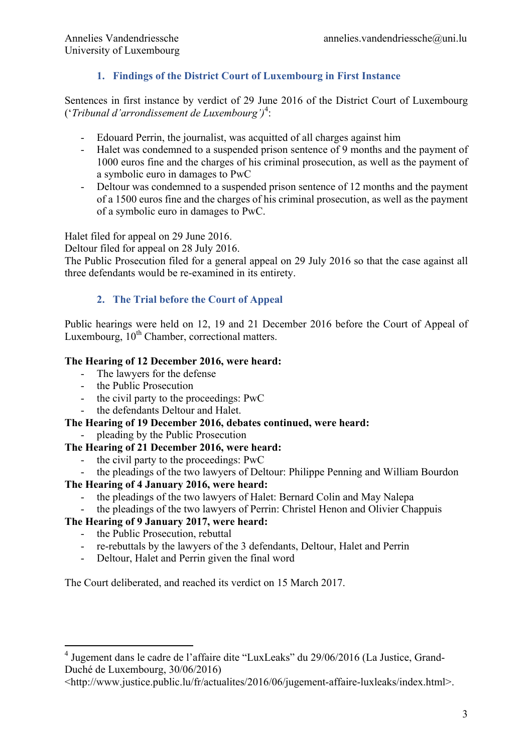# **1. Findings of the District Court of Luxembourg in First Instance**

Sentences in first instance by verdict of 29 June 2016 of the District Court of Luxembourg ('*Tribunal d'arrondissement de Luxembourg')*<sup>4</sup> :

- Edouard Perrin, the journalist, was acquitted of all charges against him
- Halet was condemned to a suspended prison sentence of 9 months and the payment of 1000 euros fine and the charges of his criminal prosecution, as well as the payment of a symbolic euro in damages to PwC
- Deltour was condemned to a suspended prison sentence of 12 months and the payment of a 1500 euros fine and the charges of his criminal prosecution, as well as the payment of a symbolic euro in damages to PwC.

Halet filed for appeal on 29 June 2016.

Deltour filed for appeal on 28 July 2016.

The Public Prosecution filed for a general appeal on 29 July 2016 so that the case against all three defendants would be re-examined in its entirety.

# **2. The Trial before the Court of Appeal**

Public hearings were held on 12, 19 and 21 December 2016 before the Court of Appeal of Luxembourg, 10<sup>th</sup> Chamber, correctional matters.

## **The Hearing of 12 December 2016, were heard:**

- The lawyers for the defense
- the Public Prosecution
- the civil party to the proceedings: PwC
- the defendants Deltour and Halet.

## **The Hearing of 19 December 2016, debates continued, were heard:**

pleading by the Public Prosecution

# **The Hearing of 21 December 2016, were heard:**

- the civil party to the proceedings: PwC
- the pleadings of the two lawyers of Deltour: Philippe Penning and William Bourdon

# **The Hearing of 4 January 2016, were heard:**

- the pleadings of the two lawyers of Halet: Bernard Colin and May Nalepa
- the pleadings of the two lawyers of Perrin: Christel Henon and Olivier Chappuis

# **The Hearing of 9 January 2017, were heard:**

- the Public Prosecution, rebuttal
- re-rebuttals by the lawyers of the 3 defendants, Deltour, Halet and Perrin
- Deltour, Halet and Perrin given the final word

The Court deliberated, and reached its verdict on 15 March 2017.

 <sup>4</sup> Jugement dans le cadre de l'affaire dite "LuxLeaks" du 29/06/2016 (La Justice, Grand-Duché de Luxembourg, 30/06/2016)

<sup>&</sup>lt;http://www.justice.public.lu/fr/actualites/2016/06/jugement-affaire-luxleaks/index.html>.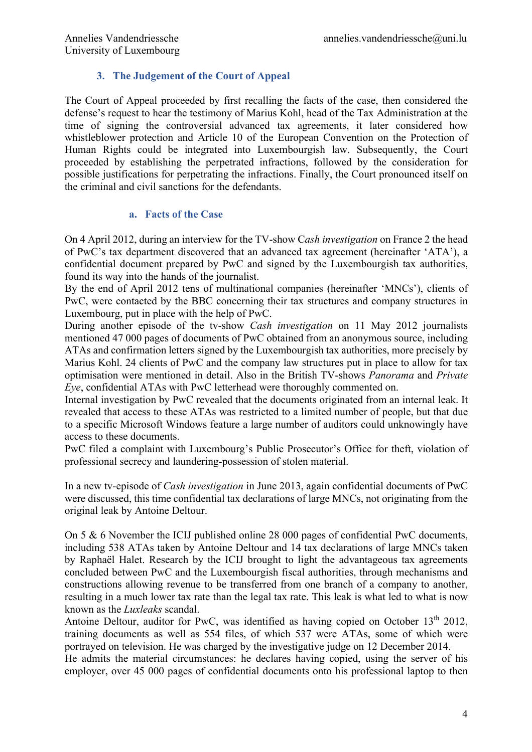## **3. The Judgement of the Court of Appeal**

The Court of Appeal proceeded by first recalling the facts of the case, then considered the defense's request to hear the testimony of Marius Kohl, head of the Tax Administration at the time of signing the controversial advanced tax agreements, it later considered how whistleblower protection and Article 10 of the European Convention on the Protection of Human Rights could be integrated into Luxembourgish law. Subsequently, the Court proceeded by establishing the perpetrated infractions, followed by the consideration for possible justifications for perpetrating the infractions. Finally, the Court pronounced itself on the criminal and civil sanctions for the defendants.

## **a. Facts of the Case**

On 4 April 2012, during an interview for the TV-show C*ash investigation* on France 2 the head of PwC's tax department discovered that an advanced tax agreement (hereinafter 'ATA'), a confidential document prepared by PwC and signed by the Luxembourgish tax authorities, found its way into the hands of the journalist.

By the end of April 2012 tens of multinational companies (hereinafter 'MNCs'), clients of PwC, were contacted by the BBC concerning their tax structures and company structures in Luxembourg, put in place with the help of PwC.

During another episode of the tv-show *Cash investigation* on 11 May 2012 journalists mentioned 47 000 pages of documents of PwC obtained from an anonymous source, including ATAs and confirmation letters signed by the Luxembourgish tax authorities, more precisely by Marius Kohl. 24 clients of PwC and the company law structures put in place to allow for tax optimisation were mentioned in detail. Also in the British TV-shows *Panorama* and *Private Eye*, confidential ATAs with PwC letterhead were thoroughly commented on.

Internal investigation by PwC revealed that the documents originated from an internal leak. It revealed that access to these ATAs was restricted to a limited number of people, but that due to a specific Microsoft Windows feature a large number of auditors could unknowingly have access to these documents.

PwC filed a complaint with Luxembourg's Public Prosecutor's Office for theft, violation of professional secrecy and laundering-possession of stolen material.

In a new tv-episode of *Cash investigation* in June 2013, again confidential documents of PwC were discussed, this time confidential tax declarations of large MNCs, not originating from the original leak by Antoine Deltour.

On 5 & 6 November the ICIJ published online 28 000 pages of confidential PwC documents, including 538 ATAs taken by Antoine Deltour and 14 tax declarations of large MNCs taken by Raphaël Halet. Research by the ICIJ brought to light the advantageous tax agreements concluded between PwC and the Luxembourgish fiscal authorities, through mechanisms and constructions allowing revenue to be transferred from one branch of a company to another, resulting in a much lower tax rate than the legal tax rate. This leak is what led to what is now known as the *Luxleaks* scandal.

Antoine Deltour, auditor for PwC, was identified as having copied on October  $13<sup>th</sup> 2012$ , training documents as well as 554 files, of which 537 were ATAs, some of which were portrayed on television. He was charged by the investigative judge on 12 December 2014.

He admits the material circumstances: he declares having copied, using the server of his employer, over 45 000 pages of confidential documents onto his professional laptop to then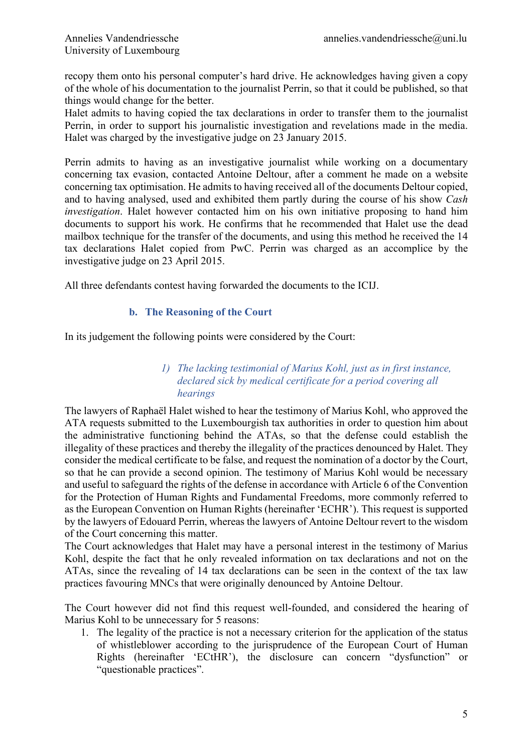recopy them onto his personal computer's hard drive. He acknowledges having given a copy of the whole of his documentation to the journalist Perrin, so that it could be published, so that things would change for the better.

Halet admits to having copied the tax declarations in order to transfer them to the journalist Perrin, in order to support his journalistic investigation and revelations made in the media. Halet was charged by the investigative judge on 23 January 2015.

Perrin admits to having as an investigative journalist while working on a documentary concerning tax evasion, contacted Antoine Deltour, after a comment he made on a website concerning tax optimisation. He admits to having received all of the documents Deltour copied, and to having analysed, used and exhibited them partly during the course of his show *Cash investigation*. Halet however contacted him on his own initiative proposing to hand him documents to support his work. He confirms that he recommended that Halet use the dead mailbox technique for the transfer of the documents, and using this method he received the 14 tax declarations Halet copied from PwC. Perrin was charged as an accomplice by the investigative judge on 23 April 2015.

All three defendants contest having forwarded the documents to the ICIJ.

## **b. The Reasoning of the Court**

In its judgement the following points were considered by the Court:

## *1) The lacking testimonial of Marius Kohl, just as in first instance, declared sick by medical certificate for a period covering all hearings*

The lawyers of Raphaël Halet wished to hear the testimony of Marius Kohl, who approved the ATA requests submitted to the Luxembourgish tax authorities in order to question him about the administrative functioning behind the ATAs, so that the defense could establish the illegality of these practices and thereby the illegality of the practices denounced by Halet. They consider the medical certificate to be false, and request the nomination of a doctor by the Court, so that he can provide a second opinion. The testimony of Marius Kohl would be necessary and useful to safeguard the rights of the defense in accordance with Article 6 of the Convention for the Protection of Human Rights and Fundamental Freedoms, more commonly referred to as the European Convention on Human Rights (hereinafter 'ECHR'). This request is supported by the lawyers of Edouard Perrin, whereas the lawyers of Antoine Deltour revert to the wisdom of the Court concerning this matter.

The Court acknowledges that Halet may have a personal interest in the testimony of Marius Kohl, despite the fact that he only revealed information on tax declarations and not on the ATAs, since the revealing of 14 tax declarations can be seen in the context of the tax law practices favouring MNCs that were originally denounced by Antoine Deltour.

The Court however did not find this request well-founded, and considered the hearing of Marius Kohl to be unnecessary for 5 reasons:

1. The legality of the practice is not a necessary criterion for the application of the status of whistleblower according to the jurisprudence of the European Court of Human Rights (hereinafter 'ECtHR'), the disclosure can concern "dysfunction" or "questionable practices".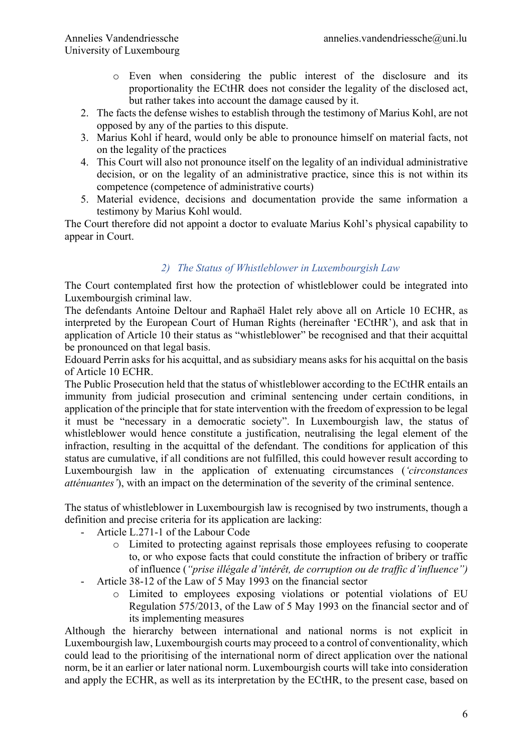- o Even when considering the public interest of the disclosure and its proportionality the ECtHR does not consider the legality of the disclosed act, but rather takes into account the damage caused by it.
- 2. The facts the defense wishes to establish through the testimony of Marius Kohl, are not opposed by any of the parties to this dispute.
- 3. Marius Kohl if heard, would only be able to pronounce himself on material facts, not on the legality of the practices
- 4. This Court will also not pronounce itself on the legality of an individual administrative decision, or on the legality of an administrative practice, since this is not within its competence (competence of administrative courts)
- 5. Material evidence, decisions and documentation provide the same information a testimony by Marius Kohl would.

The Court therefore did not appoint a doctor to evaluate Marius Kohl's physical capability to appear in Court.

## *2) The Status of Whistleblower in Luxembourgish Law*

The Court contemplated first how the protection of whistleblower could be integrated into Luxembourgish criminal law.

The defendants Antoine Deltour and Raphaël Halet rely above all on Article 10 ECHR, as interpreted by the European Court of Human Rights (hereinafter 'ECtHR'), and ask that in application of Article 10 their status as "whistleblower" be recognised and that their acquittal be pronounced on that legal basis.

Edouard Perrin asks for his acquittal, and as subsidiary means asks for his acquittal on the basis of Article 10 ECHR.

The Public Prosecution held that the status of whistleblower according to the ECtHR entails an immunity from judicial prosecution and criminal sentencing under certain conditions, in application of the principle that for state intervention with the freedom of expression to be legal it must be "necessary in a democratic society". In Luxembourgish law, the status of whistleblower would hence constitute a justification, neutralising the legal element of the infraction, resulting in the acquittal of the defendant. The conditions for application of this status are cumulative, if all conditions are not fulfilled, this could however result according to Luxembourgish law in the application of extenuating circumstances (*'circonstances atténuantes'*), with an impact on the determination of the severity of the criminal sentence.

The status of whistleblower in Luxembourgish law is recognised by two instruments, though a definition and precise criteria for its application are lacking:

- Article L.271-1 of the Labour Code
	- o Limited to protecting against reprisals those employees refusing to cooperate to, or who expose facts that could constitute the infraction of bribery or traffic of influence (*"prise illégale d'intérêt, de corruption ou de traffic d'influence")*
- Article 38-12 of the Law of 5 May 1993 on the financial sector
	- o Limited to employees exposing violations or potential violations of EU Regulation 575/2013, of the Law of 5 May 1993 on the financial sector and of its implementing measures

Although the hierarchy between international and national norms is not explicit in Luxembourgish law, Luxembourgish courts may proceed to a control of conventionality, which could lead to the prioritising of the international norm of direct application over the national norm, be it an earlier or later national norm. Luxembourgish courts will take into consideration and apply the ECHR, as well as its interpretation by the ECtHR, to the present case, based on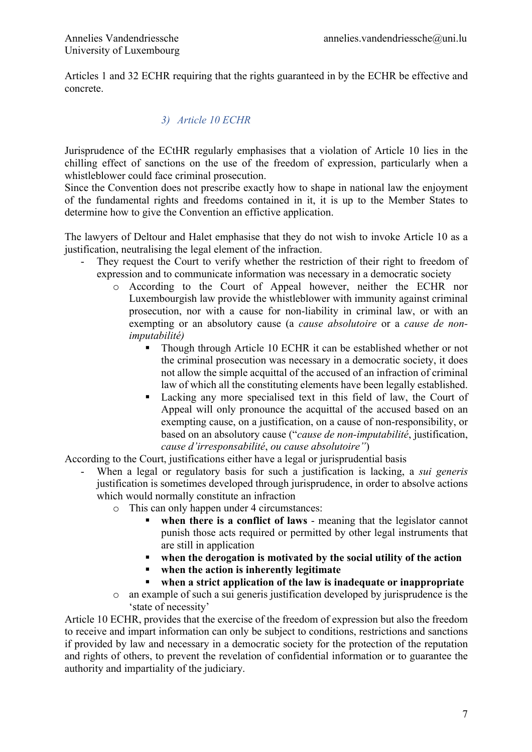Articles 1 and 32 ECHR requiring that the rights guaranteed in by the ECHR be effective and concrete.

# *3) Article 10 ECHR*

Jurisprudence of the ECtHR regularly emphasises that a violation of Article 10 lies in the chilling effect of sanctions on the use of the freedom of expression, particularly when a whistleblower could face criminal prosecution.

Since the Convention does not prescribe exactly how to shape in national law the enjoyment of the fundamental rights and freedoms contained in it, it is up to the Member States to determine how to give the Convention an effictive application.

The lawyers of Deltour and Halet emphasise that they do not wish to invoke Article 10 as a justification, neutralising the legal element of the infraction.

- They request the Court to verify whether the restriction of their right to freedom of expression and to communicate information was necessary in a democratic society
	- o According to the Court of Appeal however, neither the ECHR nor Luxembourgish law provide the whistleblower with immunity against criminal prosecution, nor with a cause for non-liability in criminal law, or with an exempting or an absolutory cause (a *cause absolutoire* or a *cause de nonimputabilité)*
		- Though through Article 10 ECHR it can be established whether or not the criminal prosecution was necessary in a democratic society, it does not allow the simple acquittal of the accused of an infraction of criminal law of which all the constituting elements have been legally established.
		- Lacking any more specialised text in this field of law, the Court of Appeal will only pronounce the acquittal of the accused based on an exempting cause, on a justification, on a cause of non-responsibility, or based on an absolutory cause ("*cause de non-imputabilité*, justification, *cause d'irresponsabilité*, *ou cause absolutoire"*)

According to the Court, justifications either have a legal or jurisprudential basis

- When a legal or regulatory basis for such a justification is lacking, a *sui generis* justification is sometimes developed through jurisprudence, in order to absolve actions which would normally constitute an infraction
	- o This can only happen under 4 circumstances:
		- when there is a conflict of laws meaning that the legislator cannot punish those acts required or permitted by other legal instruments that are still in application
		- § **when the derogation is motivated by the social utility of the action**
		- § **when the action is inherently legitimate**
		- § **when a strict application of the law is inadequate or inappropriate**
	- o an example of such a sui generis justification developed by jurisprudence is the 'state of necessity'

Article 10 ECHR, provides that the exercise of the freedom of expression but also the freedom to receive and impart information can only be subject to conditions, restrictions and sanctions if provided by law and necessary in a democratic society for the protection of the reputation and rights of others, to prevent the revelation of confidential information or to guarantee the authority and impartiality of the judiciary.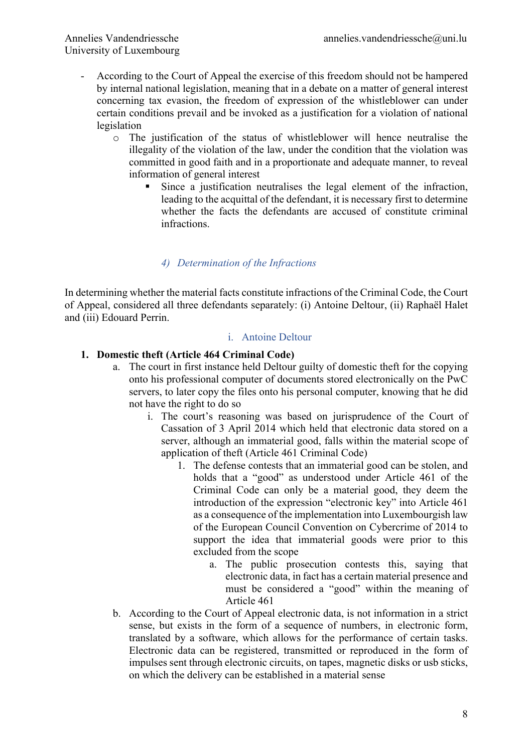- According to the Court of Appeal the exercise of this freedom should not be hampered by internal national legislation, meaning that in a debate on a matter of general interest concerning tax evasion, the freedom of expression of the whistleblower can under certain conditions prevail and be invoked as a justification for a violation of national legislation
	- o The justification of the status of whistleblower will hence neutralise the illegality of the violation of the law, under the condition that the violation was committed in good faith and in a proportionate and adequate manner, to reveal information of general interest
		- § Since a justification neutralises the legal element of the infraction, leading to the acquittal of the defendant, it is necessary first to determine whether the facts the defendants are accused of constitute criminal infractions.

## *4) Determination of the Infractions*

In determining whether the material facts constitute infractions of the Criminal Code, the Court of Appeal, considered all three defendants separately: (i) Antoine Deltour, (ii) Raphaël Halet and (iii) Edouard Perrin.

#### i. Antoine Deltour

## **1. Domestic theft (Article 464 Criminal Code)**

- a. The court in first instance held Deltour guilty of domestic theft for the copying onto his professional computer of documents stored electronically on the PwC servers, to later copy the files onto his personal computer, knowing that he did not have the right to do so
	- i. The court's reasoning was based on jurisprudence of the Court of Cassation of 3 April 2014 which held that electronic data stored on a server, although an immaterial good, falls within the material scope of application of theft (Article 461 Criminal Code)
		- 1. The defense contests that an immaterial good can be stolen, and holds that a "good" as understood under Article 461 of the Criminal Code can only be a material good, they deem the introduction of the expression "electronic key" into Article 461 as a consequence of the implementation into Luxembourgish law of the European Council Convention on Cybercrime of 2014 to support the idea that immaterial goods were prior to this excluded from the scope
			- a. The public prosecution contests this, saying that electronic data, in fact has a certain material presence and must be considered a "good" within the meaning of Article 461
- b. According to the Court of Appeal electronic data, is not information in a strict sense, but exists in the form of a sequence of numbers, in electronic form, translated by a software, which allows for the performance of certain tasks. Electronic data can be registered, transmitted or reproduced in the form of impulses sent through electronic circuits, on tapes, magnetic disks or usb sticks, on which the delivery can be established in a material sense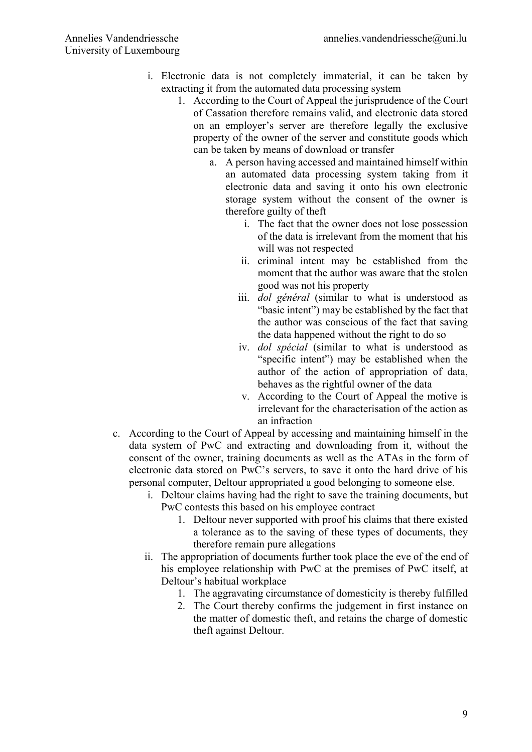- i. Electronic data is not completely immaterial, it can be taken by extracting it from the automated data processing system
	- 1. According to the Court of Appeal the jurisprudence of the Court of Cassation therefore remains valid, and electronic data stored on an employer's server are therefore legally the exclusive property of the owner of the server and constitute goods which can be taken by means of download or transfer
		- a. A person having accessed and maintained himself within an automated data processing system taking from it electronic data and saving it onto his own electronic storage system without the consent of the owner is therefore guilty of theft
			- i. The fact that the owner does not lose possession of the data is irrelevant from the moment that his will was not respected
			- ii. criminal intent may be established from the moment that the author was aware that the stolen good was not his property
			- iii. *dol général* (similar to what is understood as "basic intent") may be established by the fact that the author was conscious of the fact that saving the data happened without the right to do so
			- iv. *dol spécial* (similar to what is understood as "specific intent") may be established when the author of the action of appropriation of data, behaves as the rightful owner of the data
			- v. According to the Court of Appeal the motive is irrelevant for the characterisation of the action as an infraction
- c. According to the Court of Appeal by accessing and maintaining himself in the data system of PwC and extracting and downloading from it, without the consent of the owner, training documents as well as the ATAs in the form of electronic data stored on PwC's servers, to save it onto the hard drive of his personal computer, Deltour appropriated a good belonging to someone else.
	- i. Deltour claims having had the right to save the training documents, but PwC contests this based on his employee contract
		- 1. Deltour never supported with proof his claims that there existed a tolerance as to the saving of these types of documents, they therefore remain pure allegations
	- ii. The appropriation of documents further took place the eve of the end of his employee relationship with PwC at the premises of PwC itself, at Deltour's habitual workplace
		- 1. The aggravating circumstance of domesticity is thereby fulfilled
		- 2. The Court thereby confirms the judgement in first instance on the matter of domestic theft, and retains the charge of domestic theft against Deltour.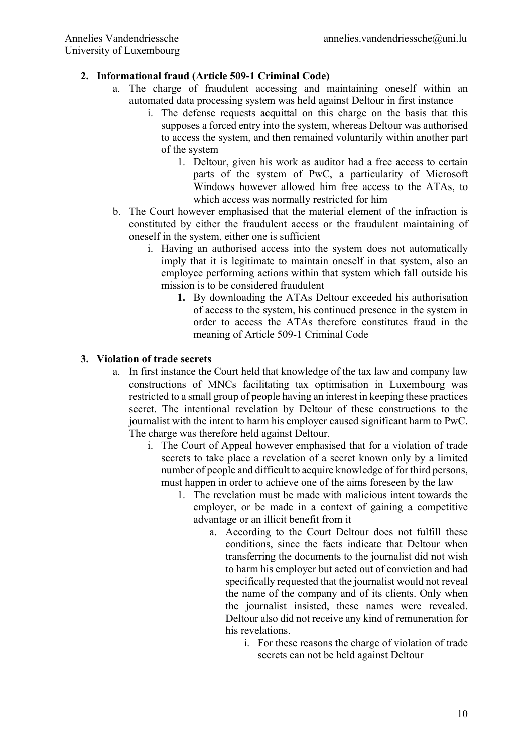# **2. Informational fraud (Article 509-1 Criminal Code)**

- a. The charge of fraudulent accessing and maintaining oneself within an automated data processing system was held against Deltour in first instance
	- i. The defense requests acquittal on this charge on the basis that this supposes a forced entry into the system, whereas Deltour was authorised to access the system, and then remained voluntarily within another part of the system
		- 1. Deltour, given his work as auditor had a free access to certain parts of the system of PwC, a particularity of Microsoft Windows however allowed him free access to the ATAs, to which access was normally restricted for him
- b. The Court however emphasised that the material element of the infraction is constituted by either the fraudulent access or the fraudulent maintaining of oneself in the system, either one is sufficient
	- i. Having an authorised access into the system does not automatically imply that it is legitimate to maintain oneself in that system, also an employee performing actions within that system which fall outside his mission is to be considered fraudulent
		- **1.** By downloading the ATAs Deltour exceeded his authorisation of access to the system, his continued presence in the system in order to access the ATAs therefore constitutes fraud in the meaning of Article 509-1 Criminal Code

## **3. Violation of trade secrets**

- a. In first instance the Court held that knowledge of the tax law and company law constructions of MNCs facilitating tax optimisation in Luxembourg was restricted to a small group of people having an interest in keeping these practices secret. The intentional revelation by Deltour of these constructions to the journalist with the intent to harm his employer caused significant harm to PwC. The charge was therefore held against Deltour.
	- i. The Court of Appeal however emphasised that for a violation of trade secrets to take place a revelation of a secret known only by a limited number of people and difficult to acquire knowledge of for third persons, must happen in order to achieve one of the aims foreseen by the law
		- 1. The revelation must be made with malicious intent towards the employer, or be made in a context of gaining a competitive advantage or an illicit benefit from it
			- a. According to the Court Deltour does not fulfill these conditions, since the facts indicate that Deltour when transferring the documents to the journalist did not wish to harm his employer but acted out of conviction and had specifically requested that the journalist would not reveal the name of the company and of its clients. Only when the journalist insisted, these names were revealed. Deltour also did not receive any kind of remuneration for his revelations.
				- i. For these reasons the charge of violation of trade secrets can not be held against Deltour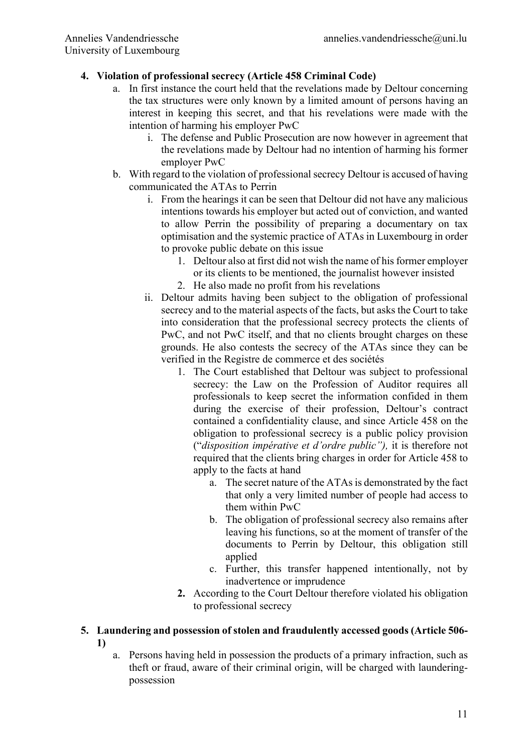# **4. Violation of professional secrecy (Article 458 Criminal Code)**

- a. In first instance the court held that the revelations made by Deltour concerning the tax structures were only known by a limited amount of persons having an interest in keeping this secret, and that his revelations were made with the intention of harming his employer PwC
	- i. The defense and Public Prosecution are now however in agreement that the revelations made by Deltour had no intention of harming his former employer PwC
- b. With regard to the violation of professional secrecy Deltour is accused of having communicated the ATAs to Perrin
	- i. From the hearings it can be seen that Deltour did not have any malicious intentions towards his employer but acted out of conviction, and wanted to allow Perrin the possibility of preparing a documentary on tax optimisation and the systemic practice of ATAs in Luxembourg in order to provoke public debate on this issue
		- 1. Deltour also at first did not wish the name of his former employer or its clients to be mentioned, the journalist however insisted
		- 2. He also made no profit from his revelations
	- ii. Deltour admits having been subject to the obligation of professional secrecy and to the material aspects of the facts, but asks the Court to take into consideration that the professional secrecy protects the clients of PwC, and not PwC itself, and that no clients brought charges on these grounds. He also contests the secrecy of the ATAs since they can be verified in the Registre de commerce et des sociétés
		- 1. The Court established that Deltour was subject to professional secrecy: the Law on the Profession of Auditor requires all professionals to keep secret the information confided in them during the exercise of their profession, Deltour's contract contained a confidentiality clause, and since Article 458 on the obligation to professional secrecy is a public policy provision ("*disposition impérative et d'ordre public"),* it is therefore not required that the clients bring charges in order for Article 458 to apply to the facts at hand
			- a. The secret nature of the ATAs is demonstrated by the fact that only a very limited number of people had access to them within PwC
			- b. The obligation of professional secrecy also remains after leaving his functions, so at the moment of transfer of the documents to Perrin by Deltour, this obligation still applied
			- c. Further, this transfer happened intentionally, not by inadvertence or imprudence
		- **2.** According to the Court Deltour therefore violated his obligation to professional secrecy
- **5. Laundering and possession of stolen and fraudulently accessed goods (Article 506- 1)**
	- a. Persons having held in possession the products of a primary infraction, such as theft or fraud, aware of their criminal origin, will be charged with launderingpossession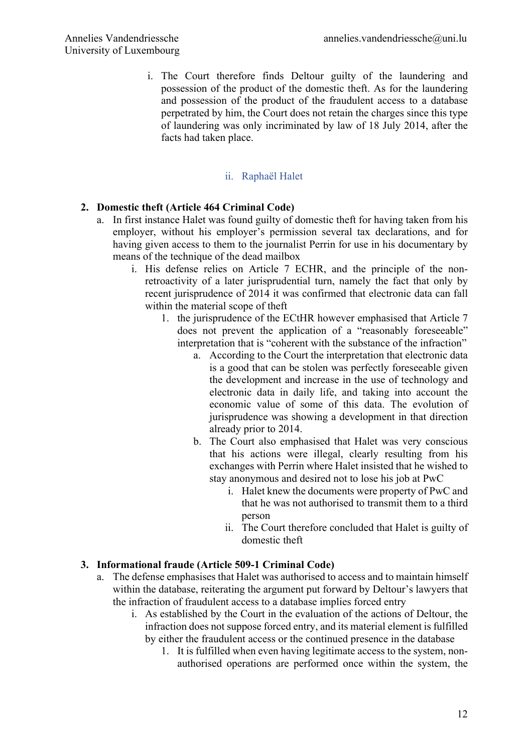i. The Court therefore finds Deltour guilty of the laundering and possession of the product of the domestic theft. As for the laundering and possession of the product of the fraudulent access to a database perpetrated by him, the Court does not retain the charges since this type of laundering was only incriminated by law of 18 July 2014, after the facts had taken place.

## ii. Raphaël Halet

## **2. Domestic theft (Article 464 Criminal Code)**

- a. In first instance Halet was found guilty of domestic theft for having taken from his employer, without his employer's permission several tax declarations, and for having given access to them to the journalist Perrin for use in his documentary by means of the technique of the dead mailbox
	- i. His defense relies on Article 7 ECHR, and the principle of the nonretroactivity of a later jurisprudential turn, namely the fact that only by recent jurisprudence of 2014 it was confirmed that electronic data can fall within the material scope of theft
		- 1. the jurisprudence of the ECtHR however emphasised that Article 7 does not prevent the application of a "reasonably foreseeable" interpretation that is "coherent with the substance of the infraction"
			- a. According to the Court the interpretation that electronic data is a good that can be stolen was perfectly foreseeable given the development and increase in the use of technology and electronic data in daily life, and taking into account the economic value of some of this data. The evolution of jurisprudence was showing a development in that direction already prior to 2014.
			- b. The Court also emphasised that Halet was very conscious that his actions were illegal, clearly resulting from his exchanges with Perrin where Halet insisted that he wished to stay anonymous and desired not to lose his job at PwC
				- i. Halet knew the documents were property of PwC and that he was not authorised to transmit them to a third person
				- ii. The Court therefore concluded that Halet is guilty of domestic theft

## **3. Informational fraude (Article 509-1 Criminal Code)**

- a. The defense emphasises that Halet was authorised to access and to maintain himself within the database, reiterating the argument put forward by Deltour's lawyers that the infraction of fraudulent access to a database implies forced entry
	- i. As established by the Court in the evaluation of the actions of Deltour, the infraction does not suppose forced entry, and its material element is fulfilled by either the fraudulent access or the continued presence in the database
		- 1. It is fulfilled when even having legitimate access to the system, nonauthorised operations are performed once within the system, the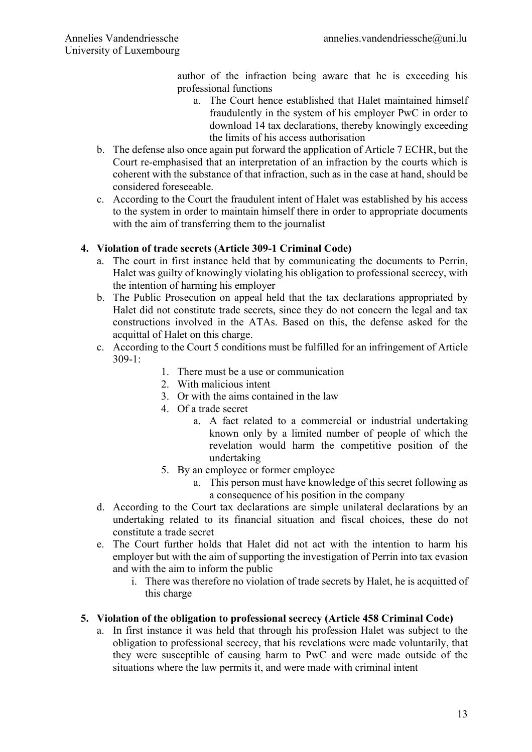author of the infraction being aware that he is exceeding his professional functions

- a. The Court hence established that Halet maintained himself fraudulently in the system of his employer PwC in order to download 14 tax declarations, thereby knowingly exceeding the limits of his access authorisation
- b. The defense also once again put forward the application of Article 7 ECHR, but the Court re-emphasised that an interpretation of an infraction by the courts which is coherent with the substance of that infraction, such as in the case at hand, should be considered foreseeable.
- c. According to the Court the fraudulent intent of Halet was established by his access to the system in order to maintain himself there in order to appropriate documents with the aim of transferring them to the journalist

## **4. Violation of trade secrets (Article 309-1 Criminal Code)**

- a. The court in first instance held that by communicating the documents to Perrin, Halet was guilty of knowingly violating his obligation to professional secrecy, with the intention of harming his employer
- b. The Public Prosecution on appeal held that the tax declarations appropriated by Halet did not constitute trade secrets, since they do not concern the legal and tax constructions involved in the ATAs. Based on this, the defense asked for the acquittal of Halet on this charge.
- c. According to the Court 5 conditions must be fulfilled for an infringement of Article 309-1:
	- 1. There must be a use or communication
	- 2. With malicious intent
	- 3. Or with the aims contained in the law
	- 4. Of a trade secret
		- a. A fact related to a commercial or industrial undertaking known only by a limited number of people of which the revelation would harm the competitive position of the undertaking
	- 5. By an employee or former employee
		- a. This person must have knowledge of this secret following as a consequence of his position in the company
- d. According to the Court tax declarations are simple unilateral declarations by an undertaking related to its financial situation and fiscal choices, these do not constitute a trade secret
- e. The Court further holds that Halet did not act with the intention to harm his employer but with the aim of supporting the investigation of Perrin into tax evasion and with the aim to inform the public
	- i. There was therefore no violation of trade secrets by Halet, he is acquitted of this charge

## **5. Violation of the obligation to professional secrecy (Article 458 Criminal Code)**

a. In first instance it was held that through his profession Halet was subject to the obligation to professional secrecy, that his revelations were made voluntarily, that they were susceptible of causing harm to PwC and were made outside of the situations where the law permits it, and were made with criminal intent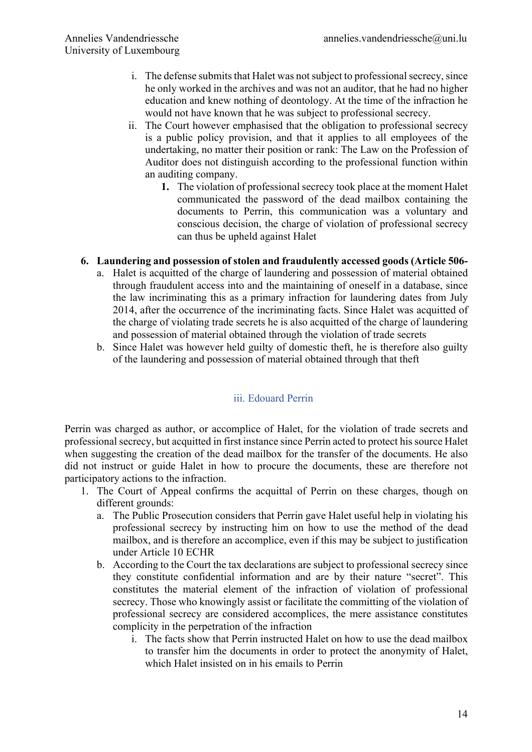- i. The defense submits that Halet was not subject to professional secrecy, since he only worked in the archives and was not an auditor, that he had no higher education and knew nothing of deontology. At the time of the infraction he would not have known that he was subject to professional secrecy.
- ii. The Court however emphasised that the obligation to professional secrecy is a public policy provision, and that it applies to all employees of the undertaking, no matter their position or rank: The Law on the Profession of Auditor does not distinguish according to the professional function within an auditing company.
	- **1.** The violation of professional secrecy took place at the moment Halet communicated the password of the dead mailbox containing the documents to Perrin, this communication was a voluntary and conscious decision, the charge of violation of professional secrecy can thus be upheld against Halet

## **6. Laundering and possession of stolen and fraudulently accessed goods (Article 506-**

- a. Halet is acquitted of the charge of laundering and possession of material obtained through fraudulent access into and the maintaining of oneself in a database, since the law incriminating this as a primary infraction for laundering dates from July 2014, after the occurrence of the incriminating facts. Since Halet was acquitted of the charge of violating trade secrets he is also acquitted of the charge of laundering and possession of material obtained through the violation of trade secrets
- b. Since Halet was however held guilty of domestic theft, he is therefore also guilty of the laundering and possession of material obtained through that theft

## iii. Edouard Perrin

Perrin was charged as author, or accomplice of Halet, for the violation of trade secrets and professional secrecy, but acquitted in first instance since Perrin acted to protect his source Halet when suggesting the creation of the dead mailbox for the transfer of the documents. He also did not instruct or guide Halet in how to procure the documents, these are therefore not participatory actions to the infraction.

- 1. The Court of Appeal confirms the acquittal of Perrin on these charges, though on different grounds:
	- a. The Public Prosecution considers that Perrin gave Halet useful help in violating his professional secrecy by instructing him on how to use the method of the dead mailbox, and is therefore an accomplice, even if this may be subject to justification under Article 10 ECHR
	- b. According to the Court the tax declarations are subject to professional secrecy since they constitute confidential information and are by their nature "secret". This constitutes the material element of the infraction of violation of professional secrecy. Those who knowingly assist or facilitate the committing of the violation of professional secrecy are considered accomplices, the mere assistance constitutes complicity in the perpetration of the infraction
		- i. The facts show that Perrin instructed Halet on how to use the dead mailbox to transfer him the documents in order to protect the anonymity of Halet, which Halet insisted on in his emails to Perrin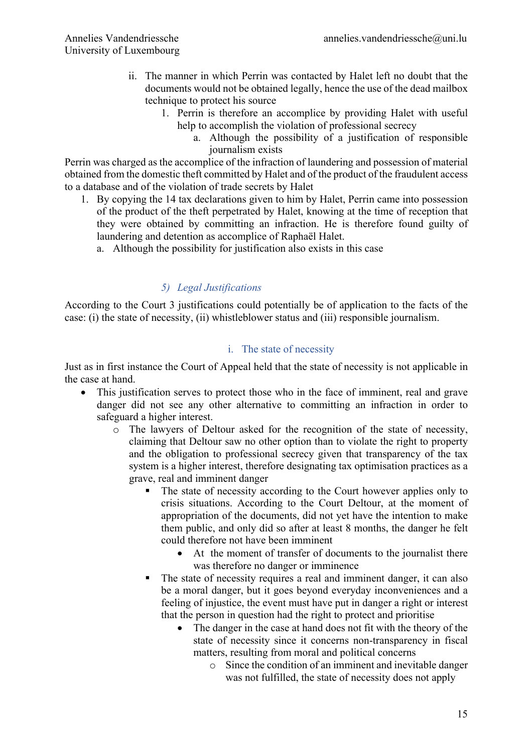- ii. The manner in which Perrin was contacted by Halet left no doubt that the documents would not be obtained legally, hence the use of the dead mailbox technique to protect his source
	- 1. Perrin is therefore an accomplice by providing Halet with useful help to accomplish the violation of professional secrecy
		- a. Although the possibility of a justification of responsible journalism exists

Perrin was charged as the accomplice of the infraction of laundering and possession of material obtained from the domestic theft committed by Halet and of the product of the fraudulent access to a database and of the violation of trade secrets by Halet

- 1. By copying the 14 tax declarations given to him by Halet, Perrin came into possession of the product of the theft perpetrated by Halet, knowing at the time of reception that they were obtained by committing an infraction. He is therefore found guilty of laundering and detention as accomplice of Raphaël Halet.
	- a. Although the possibility for justification also exists in this case

## *5) Legal Justifications*

According to the Court 3 justifications could potentially be of application to the facts of the case: (i) the state of necessity, (ii) whistleblower status and (iii) responsible journalism.

#### i. The state of necessity

Just as in first instance the Court of Appeal held that the state of necessity is not applicable in the case at hand.

- This justification serves to protect those who in the face of imminent, real and grave danger did not see any other alternative to committing an infraction in order to safeguard a higher interest.
	- o The lawyers of Deltour asked for the recognition of the state of necessity, claiming that Deltour saw no other option than to violate the right to property and the obligation to professional secrecy given that transparency of the tax system is a higher interest, therefore designating tax optimisation practices as a grave, real and imminent danger
		- The state of necessity according to the Court however applies only to crisis situations. According to the Court Deltour, at the moment of appropriation of the documents, did not yet have the intention to make them public, and only did so after at least 8 months, the danger he felt could therefore not have been imminent
			- At the moment of transfer of documents to the journalist there was therefore no danger or imminence
		- The state of necessity requires a real and imminent danger, it can also be a moral danger, but it goes beyond everyday inconveniences and a feeling of injustice, the event must have put in danger a right or interest that the person in question had the right to protect and prioritise
			- The danger in the case at hand does not fit with the theory of the state of necessity since it concerns non-transparency in fiscal matters, resulting from moral and political concerns
				- o Since the condition of an imminent and inevitable danger was not fulfilled, the state of necessity does not apply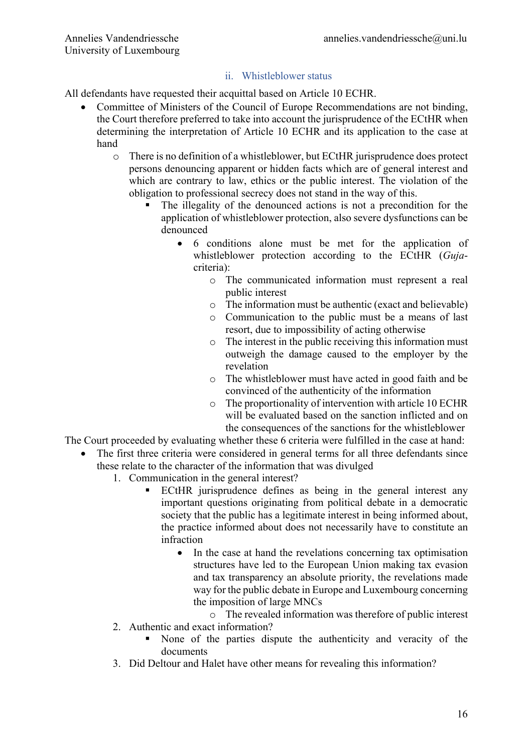## ii. Whistleblower status

All defendants have requested their acquittal based on Article 10 ECHR.

- Committee of Ministers of the Council of Europe Recommendations are not binding, the Court therefore preferred to take into account the jurisprudence of the ECtHR when determining the interpretation of Article 10 ECHR and its application to the case at hand
	- o There is no definition of a whistleblower, but ECtHR jurisprudence does protect persons denouncing apparent or hidden facts which are of general interest and which are contrary to law, ethics or the public interest. The violation of the obligation to professional secrecy does not stand in the way of this.
		- The illegality of the denounced actions is not a precondition for the application of whistleblower protection, also severe dysfunctions can be denounced
			- 6 conditions alone must be met for the application of whistleblower protection according to the ECtHR (*Guja*criteria):
				- o The communicated information must represent a real public interest
				- o The information must be authentic (exact and believable)
				- o Communication to the public must be a means of last resort, due to impossibility of acting otherwise
				- o The interest in the public receiving this information must outweigh the damage caused to the employer by the revelation
				- o The whistleblower must have acted in good faith and be convinced of the authenticity of the information
				- o The proportionality of intervention with article 10 ECHR will be evaluated based on the sanction inflicted and on the consequences of the sanctions for the whistleblower

The Court proceeded by evaluating whether these 6 criteria were fulfilled in the case at hand:

- The first three criteria were considered in general terms for all three defendants since these relate to the character of the information that was divulged
	- 1. Communication in the general interest?
		- ECtHR jurisprudence defines as being in the general interest any important questions originating from political debate in a democratic society that the public has a legitimate interest in being informed about, the practice informed about does not necessarily have to constitute an infraction
			- In the case at hand the revelations concerning tax optimisation structures have led to the European Union making tax evasion and tax transparency an absolute priority, the revelations made way for the public debate in Europe and Luxembourg concerning the imposition of large MNCs
				- o The revealed information was therefore of public interest
	- 2. Authentic and exact information?
		- § None of the parties dispute the authenticity and veracity of the documents
	- 3. Did Deltour and Halet have other means for revealing this information?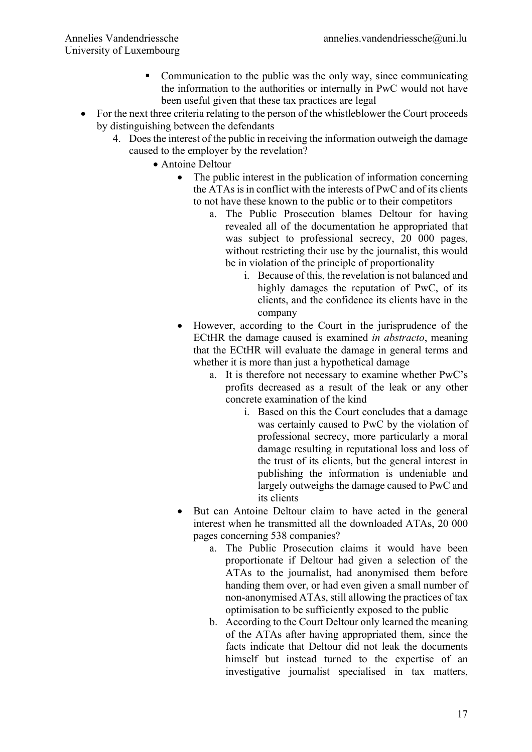- Communication to the public was the only way, since communicating the information to the authorities or internally in PwC would not have been useful given that these tax practices are legal
- For the next three criteria relating to the person of the whistleblower the Court proceeds by distinguishing between the defendants
	- 4. Does the interest of the public in receiving the information outweigh the damage caused to the employer by the revelation?
		- Antoine Deltour
			- The public interest in the publication of information concerning the ATAs is in conflict with the interests of PwC and of its clients to not have these known to the public or to their competitors
				- a. The Public Prosecution blames Deltour for having revealed all of the documentation he appropriated that was subject to professional secrecy, 20 000 pages, without restricting their use by the journalist, this would be in violation of the principle of proportionality
					- i. Because of this, the revelation is not balanced and highly damages the reputation of PwC, of its clients, and the confidence its clients have in the company
			- However, according to the Court in the jurisprudence of the ECtHR the damage caused is examined *in abstracto*, meaning that the ECtHR will evaluate the damage in general terms and whether it is more than just a hypothetical damage
				- a. It is therefore not necessary to examine whether PwC's profits decreased as a result of the leak or any other concrete examination of the kind
					- i. Based on this the Court concludes that a damage was certainly caused to PwC by the violation of professional secrecy, more particularly a moral damage resulting in reputational loss and loss of the trust of its clients, but the general interest in publishing the information is undeniable and largely outweighs the damage caused to PwC and its clients
			- But can Antoine Deltour claim to have acted in the general interest when he transmitted all the downloaded ATAs, 20 000 pages concerning 538 companies?
				- a. The Public Prosecution claims it would have been proportionate if Deltour had given a selection of the ATAs to the journalist, had anonymised them before handing them over, or had even given a small number of non-anonymised ATAs, still allowing the practices of tax optimisation to be sufficiently exposed to the public
				- b. According to the Court Deltour only learned the meaning of the ATAs after having appropriated them, since the facts indicate that Deltour did not leak the documents himself but instead turned to the expertise of an investigative journalist specialised in tax matters,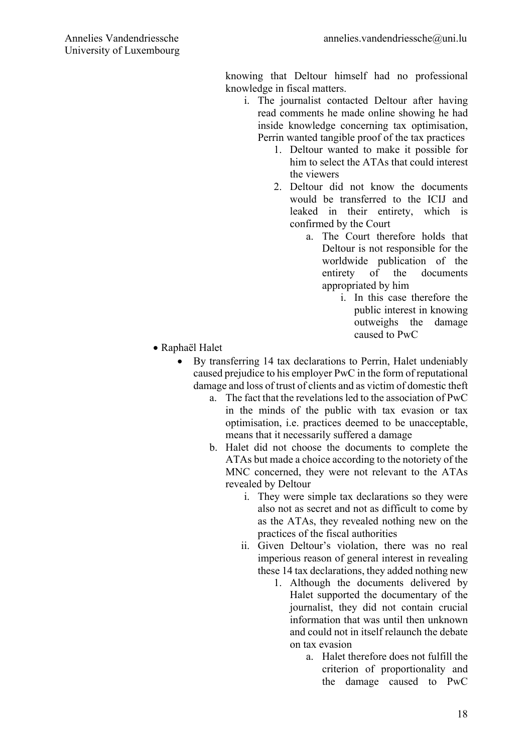knowing that Deltour himself had no professional knowledge in fiscal matters.

- i. The journalist contacted Deltour after having read comments he made online showing he had inside knowledge concerning tax optimisation, Perrin wanted tangible proof of the tax practices
	- 1. Deltour wanted to make it possible for him to select the ATAs that could interest the viewers
	- 2. Deltour did not know the documents would be transferred to the ICIJ and leaked in their entirety, which is confirmed by the Court
		- a. The Court therefore holds that Deltour is not responsible for the worldwide publication of the entirety of the documents appropriated by him
			- i. In this case therefore the public interest in knowing outweighs the damage caused to PwC

- Raphaël Halet
	- By transferring 14 tax declarations to Perrin, Halet undeniably caused prejudice to his employer PwC in the form of reputational damage and loss of trust of clients and as victim of domestic theft
		- a. The fact that the revelations led to the association of PwC in the minds of the public with tax evasion or tax optimisation, i.e. practices deemed to be unacceptable, means that it necessarily suffered a damage
		- b. Halet did not choose the documents to complete the ATAs but made a choice according to the notoriety of the MNC concerned, they were not relevant to the ATAs revealed by Deltour
			- i. They were simple tax declarations so they were also not as secret and not as difficult to come by as the ATAs, they revealed nothing new on the practices of the fiscal authorities
			- ii. Given Deltour's violation, there was no real imperious reason of general interest in revealing these 14 tax declarations, they added nothing new
				- 1. Although the documents delivered by Halet supported the documentary of the journalist, they did not contain crucial information that was until then unknown and could not in itself relaunch the debate on tax evasion
					- a. Halet therefore does not fulfill the criterion of proportionality and the damage caused to PwC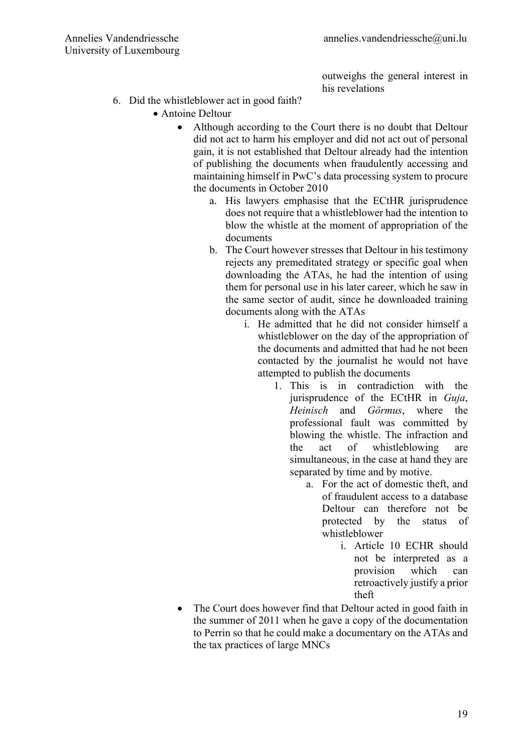outweighs the general interest in his revelations

- 6. Did the whistleblower act in good faith?
	- Antoine Deltour
		- Although according to the Court there is no doubt that Deltour did not act to harm his employer and did not act out of personal gain, it is not established that Deltour already had the intention of publishing the documents when fraudulently accessing and maintaining himself in PwC's data processing system to procure the documents in October 2010
			- a. His lawyers emphasise that the ECtHR jurisprudence does not require that a whistleblower had the intention to blow the whistle at the moment of appropriation of the documents
			- b. The Court however stresses that Deltour in his testimony rejects any premeditated strategy or specific goal when downloading the ATAs, he had the intention of using them for personal use in his later career, which he saw in the same sector of audit, since he downloaded training documents along with the ATAs
				- i. He admitted that he did not consider himself a whistleblower on the day of the appropriation of the documents and admitted that had he not been contacted by the journalist he would not have attempted to publish the documents
					- 1. This is in contradiction with the jurisprudence of the ECtHR in *Guja*, *Heinisch* and *Görmus*, where the professional fault was committed by blowing the whistle. The infraction and the act of whistleblowing are simultaneous, in the case at hand they are separated by time and by motive.
						- a. For the act of domestic theft, and of fraudulent access to a database Deltour can therefore not be protected by the status of whistleblower
							- i. Article 10 ECHR should not be interpreted as a provision which can retroactively justify a prior theft
		- The Court does however find that Deltour acted in good faith in the summer of 2011 when he gave a copy of the documentation to Perrin so that he could make a documentary on the ATAs and the tax practices of large MNCs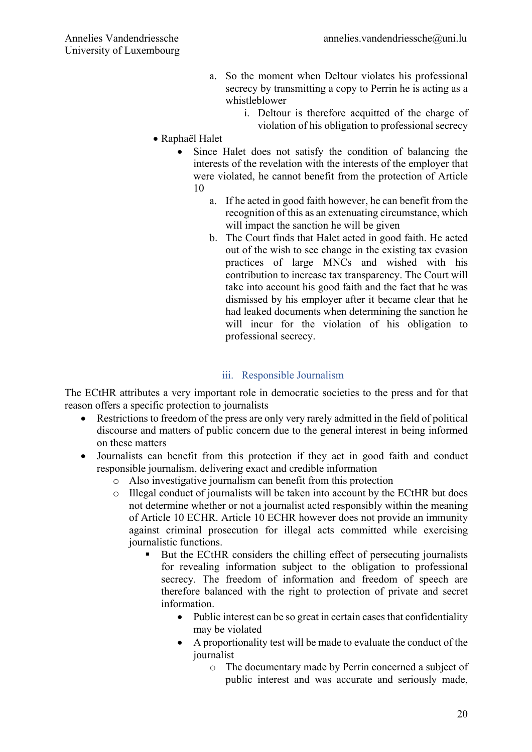- a. So the moment when Deltour violates his professional secrecy by transmitting a copy to Perrin he is acting as a whistleblower
	- i. Deltour is therefore acquitted of the charge of violation of his obligation to professional secrecy
- Raphaël Halet
	- Since Halet does not satisfy the condition of balancing the interests of the revelation with the interests of the employer that were violated, he cannot benefit from the protection of Article 10
		- a. If he acted in good faith however, he can benefit from the recognition of this as an extenuating circumstance, which will impact the sanction he will be given
		- b. The Court finds that Halet acted in good faith. He acted out of the wish to see change in the existing tax evasion practices of large MNCs and wished with his contribution to increase tax transparency. The Court will take into account his good faith and the fact that he was dismissed by his employer after it became clear that he had leaked documents when determining the sanction he will incur for the violation of his obligation to professional secrecy.

## iii. Responsible Journalism

The ECtHR attributes a very important role in democratic societies to the press and for that reason offers a specific protection to journalists

- Restrictions to freedom of the press are only very rarely admitted in the field of political discourse and matters of public concern due to the general interest in being informed on these matters
- Journalists can benefit from this protection if they act in good faith and conduct responsible journalism, delivering exact and credible information
	- o Also investigative journalism can benefit from this protection
	- o Illegal conduct of journalists will be taken into account by the ECtHR but does not determine whether or not a journalist acted responsibly within the meaning of Article 10 ECHR. Article 10 ECHR however does not provide an immunity against criminal prosecution for illegal acts committed while exercising journalistic functions.
		- But the ECtHR considers the chilling effect of persecuting journalists for revealing information subject to the obligation to professional secrecy. The freedom of information and freedom of speech are therefore balanced with the right to protection of private and secret information.
			- Public interest can be so great in certain cases that confidentiality may be violated
			- A proportionality test will be made to evaluate the conduct of the journalist
				- o The documentary made by Perrin concerned a subject of public interest and was accurate and seriously made,